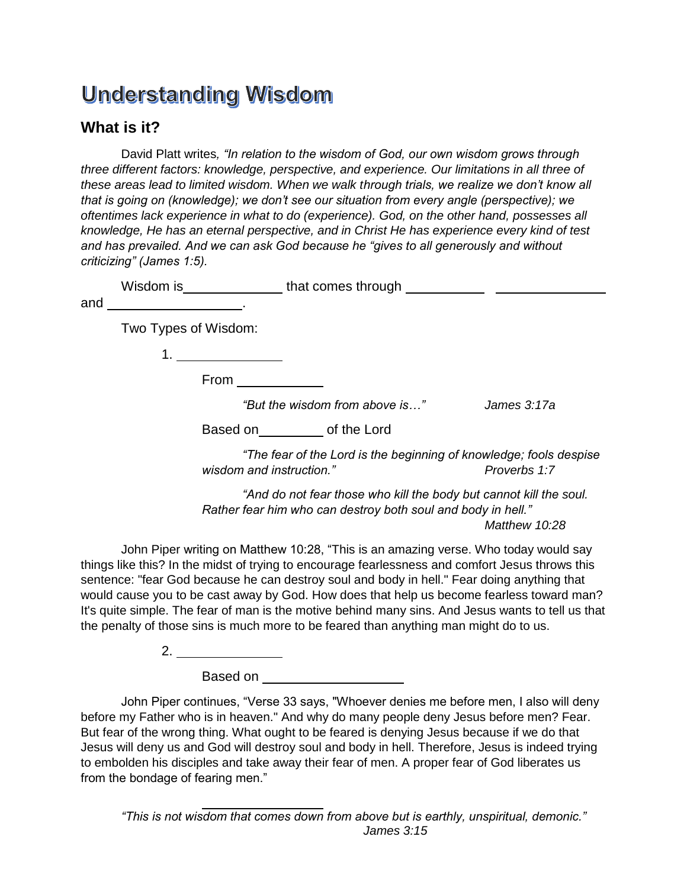## **Understanding Wisdom**

## **What is it?**

David Platt writes*, "In relation to the wisdom of God, our own wisdom grows through three different factors: knowledge, perspective, and experience. Our limitations in all three of these areas lead to limited wisdom. When we walk through trials, we realize we don't know all that is going on (knowledge); we don't see our situation from every angle (perspective); we oftentimes lack experience in what to do (experience). God, on the other hand, possesses all knowledge, He has an eternal perspective, and in Christ He has experience every kind of test and has prevailed. And we can ask God because he "gives to all generously and without criticizing" (James 1:5).*

|     | Wisdom is            | that comes through |
|-----|----------------------|--------------------|
| and |                      |                    |
|     | Two Types of Wisdom: |                    |
|     |                      |                    |
|     | From                 |                    |

*"But the wisdom from above is…" James 3:17a*

| Based on | of the Lord |  |
|----------|-------------|--|
|----------|-------------|--|

*"The fear of the Lord is the beginning of knowledge; fools despise wisdom and instruction." Proverbs 1:7*

*"And do not fear those who kill the body but cannot kill the soul. Rather fear him who can destroy both soul and body in hell." Matthew 10:28*

John Piper writing on Matthew 10:28, "This is an amazing verse. Who today would say things like this? In the midst of trying to encourage fearlessness and comfort Jesus throws this sentence: "fear God because he can destroy soul and body in hell." Fear doing anything that would cause you to be cast away by God. How does that help us become fearless toward man? It's quite simple. The fear of man is the motive behind many sins. And Jesus wants to tell us that the penalty of those sins is much more to be feared than anything man might do to us.

 $2.$ 

Based on

John Piper continues, "Verse 33 says, "Whoever denies me before men, I also will deny before my Father who is in heaven." And why do many people deny Jesus before men? Fear. But fear of the wrong thing. What ought to be feared is denying Jesus because if we do that Jesus will deny us and God will destroy soul and body in hell. Therefore, Jesus is indeed trying to embolden his disciples and take away their fear of men. A proper fear of God liberates us from the bondage of fearing men."

*"This is not wisdom that comes down from above but is earthly, unspiritual, demonic." James 3:15*